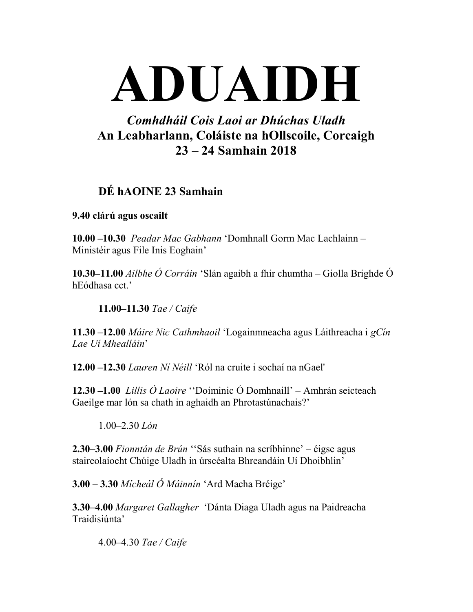# ADUAIDH

## Comhdháil Cois Laoi ar Dhúchas Uladh An Leabharlann, Coláiste na hOllscoile, Corcaigh 23 – 24 Samhain 2018

## DÉ hAOINE 23 Samhain

#### 9.40 clárú agus oscailt

10.00 –10.30 Peadar Mac Gabhann 'Domhnall Gorm Mac Lachlainn – Ministéir agus File Inis Eoghain'

10.30–11.00 *Ailbhe Ó Corráin* 'Slán agaibh a fhir chumtha – Giolla Brighde Ó hEódhasa cct.'

11.00–11.30 Tae / Caife

11.30 –12.00 Máire Nic Cathmhaoil 'Logainmneacha agus Láithreacha i gCín Lae Uí Mhealláin'

12.00 –12.30 Lauren Ní Néill 'Ról na cruite i sochaí na nGael'

12.30 –1.00 Lillis Ó Laoire ''Doiminic Ó Domhnaill' – Amhrán seicteach Gaeilge mar lón sa chath in aghaidh an Phrotastúnachais?'

1.00–2.30 Lón

2.30–3.00 Fionntán de Brún "Sás suthain na scríbhinne' – éigse agus staireolaíocht Chúige Uladh in úrscéalta Bhreandáin Uí Dhoibhlin'

 $3.00 - 3.30$  Mícheál Ó Máinnín 'Ard Macha Bréige'

3.30–4.00 Margaret Gallagher 'Dánta Diaga Uladh agus na Paidreacha Traidisiúnta'

4.00–4.30 Tae / Caife